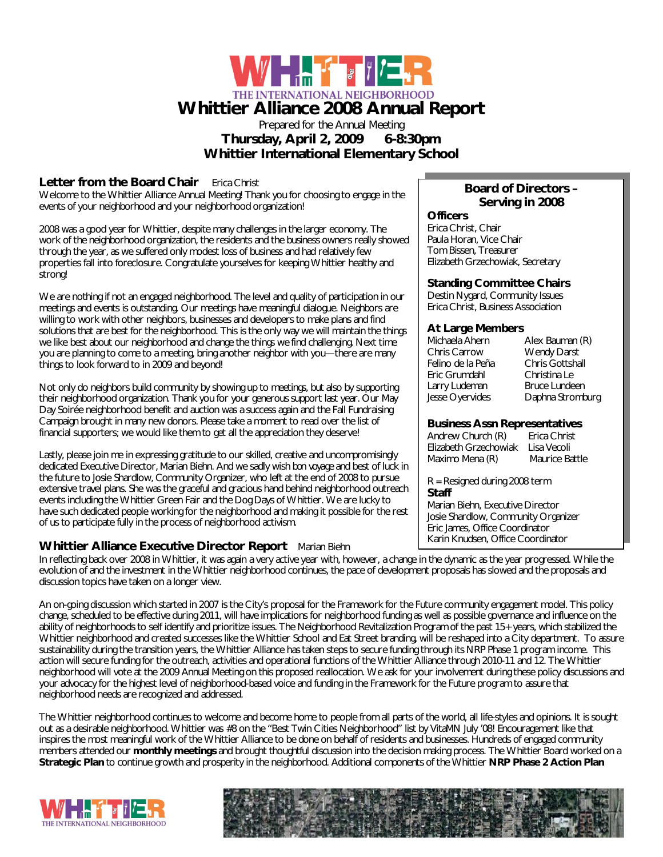

# Prepared for the Annual Meeting **Thursday, April 2, 2009 6-8:30pm**

**Whittier International Elementary School**

## **Letter from the Board Chair Erica Christ**

Welcome to the Whittier Alliance Annual Meeting! Thank you for choosing to engage in the events of your neighborhood and your neighborhood organization!

2008 was a good year for Whittier, despite many challenges in the larger economy. The work of the neighborhood organization, the residents and the business owners really showed through the year, as we suffered only modest loss of business and had relatively few properties fall into foreclosure. Congratulate yourselves for keeping Whittier healthy and strong!

We are nothing if not an engaged neighborhood. The level and quality of participation in our meetings and events is outstanding. Our meetings have meaningful dialogue. Neighbors are willing to work with other neighbors, businesses and developers to make plans and find solutions that are best for the neighborhood. This is the only way we will maintain the things we like best about our neighborhood and change the things we find challenging. Next time you are planning to come to a meeting, bring another neighbor with you—there are many things to look forward to in 2009 and beyond!

Not only do neighbors build community by showing up to meetings, but also by supporting their neighborhood organization. Thank you for your generous support last year. Our May Day Soirée neighborhood benefit and auction was a success again and the Fall Fundraising Campaign brought in many new donors. Please take a moment to read over the list of financial supporters; we would like them to get all the appreciation they deserve!

Lastly, please join me in expressing gratitude to our skilled, creative and uncompromisingly dedicated Executive Director, Marian Biehn. And we sadly wish *bon voyage* and best of luck in the future to Josie Shardlow, Community Organizer, who left at the end of 2008 to pursue extensive travel plans. She was the graceful and gracious hand behind neighborhood outreach events including the Whittier Green Fair and the Dog Days of Whittier. We are lucky to have such dedicated people working for the neighborhood and making it possible for the rest of us to participate fully in the process of neighborhood activism.

## **Whittier Alliance Executive Director Report** Marian Biehn

## **Board of Directors – Serving in 2008 Officers**

Erica Christ, Chair Paula Horan, Vice Chair Tom Bissen, Treasurer Elizabeth Grzechowiak, Secretary

## **Standing Committee Chairs**

Destin Nygard, Community Issues Erica Christ, Business Association

## **At Large Members**

| Michaela Ahern<br>Chris Carrow | Alex Bauman (R)<br><b>Wendy Darst</b> |
|--------------------------------|---------------------------------------|
| Felino de la Peña              | Chris Gottshall                       |
| Eric Grumdahl                  | Christina Le                          |
| Larry Ludeman                  | <b>Bruce Lundeen</b>                  |
| Jesse Oyervides                | Daphna Stromburg                      |
|                                |                                       |

## **Business Assn Representatives**

Andrew Church (R) Erica Christ Elizabeth GrzechowiakLisa Vecoli Maximo Mena (R) Maurice Battle

R = Resigned during 2008 term **Staff** 

Marian Biehn, Executive Director Josie Shardlow, Community Organizer Eric James, Office Coordinator Karin Knudsen, Office Coordinator

In reflecting back over 2008 in Whittier, it was again a very active year with, however, a change in the dynamic as the year progressed. While the evolution of and the investment in the Whittier neighborhood continues, the pace of development proposals has slowed and the proposals and discussion topics have taken on a longer view.

An on-going discussion which started in 2007 is the City's proposal for the Framework for the Future community engagement model. This policy change, scheduled to be effective during 2011, will have implications for neighborhood funding as well as possible governance and influence on the ability of neighborhoods to self identify and prioritize issues. The Neighborhood Revitalization Program of the past 15+ years, which stabilized the Whittier neighborhood and created successes like the Whittier School and Eat Street branding, will be reshaped into a City department. To assure sustainability during the transition years, the Whittier Alliance has taken steps to secure funding through its NRP Phase 1 program income. This action will secure funding for the outreach, activities and operational functions of the Whittier Alliance through 2010-11 and 12. The Whittier neighborhood will vote at the 2009 Annual Meeting on this proposed reallocation. We ask for your involvement during these policy discussions and your advocacy for the highest level of neighborhood-based voice and funding in the Framework for the Future program to assure that neighborhood needs are recognized and addressed.

The Whittier neighborhood continues to welcome and become home to people from all parts of the world, all life-styles and opinions. It is sought out as a desirable neighborhood. Whittier was #8 on the "Best Twin Cities Neighborhood" list by VitaMN July '08! Encouragement like that inspires the most meaningful work of the Whittier Alliance to be done on behalf of residents and businesses. Hundreds of engaged community members attended our **monthly meetings** and brought thoughtful discussion into the decision making process. The Whittier Board worked on a **Strategic Plan** to continue growth and prosperity in the neighborhood. Additional components of the Whittier **NRP Phase 2 Action Plan**



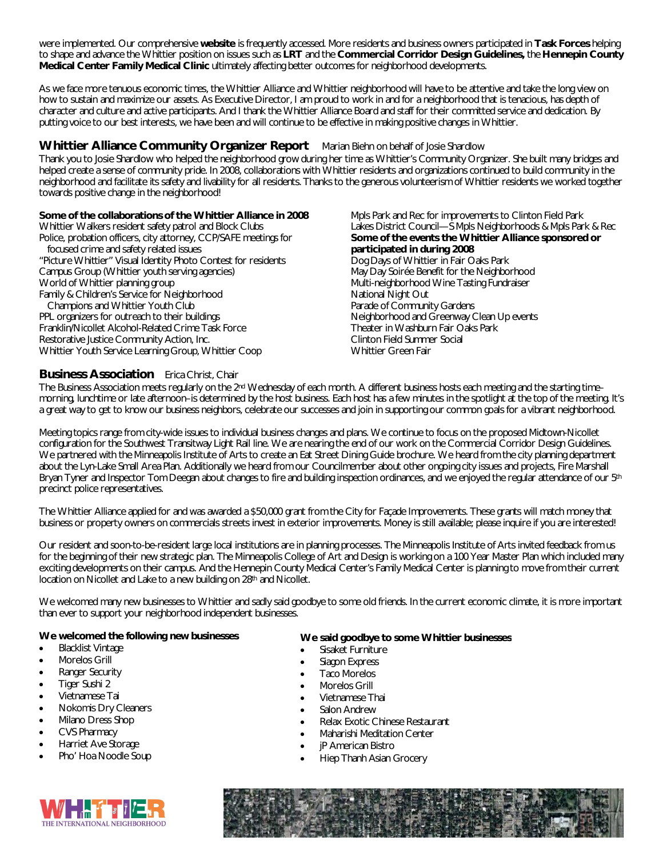were implemented. Our comprehensive **website** is frequently accessed. More residents and business owners participated in **Task Forces** helping to shape and advance the Whittier position on issues such as **LRT** and the **Commercial Corridor Design Guidelines,** the **Hennepin County Medical Center Family Medical Clinic** ultimately affecting better outcomes for neighborhood developments.

As we face more tenuous economic times, the Whittier Alliance and Whittier neighborhood will have to be attentive and take the long view on how to sustain and maximize our assets. As Executive Director, I am proud to work in and for a neighborhood that is tenacious, has depth of character and culture and active participants. And I thank the Whittier Alliance Board and staff for their committed service and dedication. By putting voice to our best interests, we have been and will continue to be effective in making positive changes in Whittier.

## **Whittier Alliance Community Organizer Report** Marian Biehn on behalf of Josie Shardlow

Thank you to Josie Shardlow who helped the neighborhood grow during her time as Whittier's Community Organizer. She built many bridges and helped create a sense of community pride. In 2008, collaborations with Whittier residents and organizations continued to build community in the neighborhood and facilitate its safety and livability for all residents. Thanks to the generous volunteerism of Whittier residents we worked together towards positive change in the neighborhood!

#### **Some of the collaborations of the Whittier Alliance in 2008**

Whittier Walkers resident safety patrol and Block Clubs Police, probation officers, city attorney, CCP/SAFE meetings for focused crime and safety related issues

"Picture Whittier" Visual Identity Photo Contest for residents Campus Group (Whittier youth serving agencies) World of Whittier planning group Family & Children's Service for Neighborhood Champions and Whittier Youth Club PPL organizers for outreach to their buildings Franklin/Nicollet Alcohol-Related Crime Task Force Restorative Justice Community Action, Inc. Whittier Youth Service Learning Group, Whittier Coop

Mpls Park and Rec for improvements to Clinton Field Park Lakes District Council—S Mpls Neighborhoods & Mpls Park & Rec **Some of the events the Whittier Alliance sponsored or participated in during 2008** Dog Days of Whittier in Fair Oaks Park May Day Soirée Benefit for the Neighborhood Multi-neighborhood Wine Tasting Fundraiser National Night Out Parade of Community Gardens Neighborhood and Greenway Clean Up events Theater in Washburn Fair Oaks Park Clinton Field Summer Social Whittier Green Fair

## **Business Association** Erica Christ, Chair

The Business Association meets regularly on the 2<sup>nd</sup> Wednesday of each month. A different business hosts each meeting and the starting timemorning, lunchtime or late afternoon–is determined by the host business. Each host has a few minutes in the spotlight at the top of the meeting. It's a great way to get to know our business neighbors, celebrate our successes and join in supporting our common goals for a vibrant neighborhood.

Meeting topics range from city-wide issues to individual business changes and plans. We continue to focus on the proposed Midtown-Nicollet configuration for the Southwest Transitway Light Rail line. We are nearing the end of our work on the Commercial Corridor Design Guidelines. We partnered with the Minneapolis Institute of Arts to create an Eat Street Dining Guide brochure. We heard from the city planning department about the Lyn-Lake Small Area Plan. Additionally we heard from our Councilmember about other ongoing city issues and projects, Fire Marshall Bryan Tyner and Inspector Tom Deegan about changes to fire and building inspection ordinances, and we enjoyed the regular attendance of our 5<sup>th</sup> precinct police representatives.

The Whittier Alliance applied for and was awarded a \$50,000 grant from the City for Façade Improvements. These grants will match money that business or property owners on commercials streets invest in exterior improvements. Money is still available; please inquire if you are interested!

Our resident and soon-to-be-resident large local institutions are in planning processes. The Minneapolis Institute of Arts invited feedback from us for the beginning of their new strategic plan. The Minneapolis College of Art and Design is working on a 100 Year Master Plan which included many exciting developments on their campus. And the Hennepin County Medical Center's Family Medical Center is planning to move from their current location on Nicollet and Lake to a new building on 28th and Nicollet.

We welcomed many new businesses to Whittier and sadly said goodbye to some old friends. In the current economic climate, it is more important than ever to support your neighborhood independent businesses.

#### **We welcomed the following new businesses**

- Blacklist Vintage
- Morelos Grill
- Ranger Security
- Tiger Sushi 2
- Vietnamese Tai
- Nokomis Dry Cleaners
- Milano Dress Shop
- CVS Pharmacy
- Harriet Ave Storage
- Pho' Hoa Noodle Soup

#### **We said goodbye to some Whittier businesses**

- Sisaket Furniture
- Siagon Express
- Taco Morelos
- Morelos Grill
- Vietnamese Thai
- Salon Andrew
- Relax Exotic Chinese Restaurant
- Maharishi Meditation Center
- jP American Bistro
- Hiep Thanh Asian Grocery



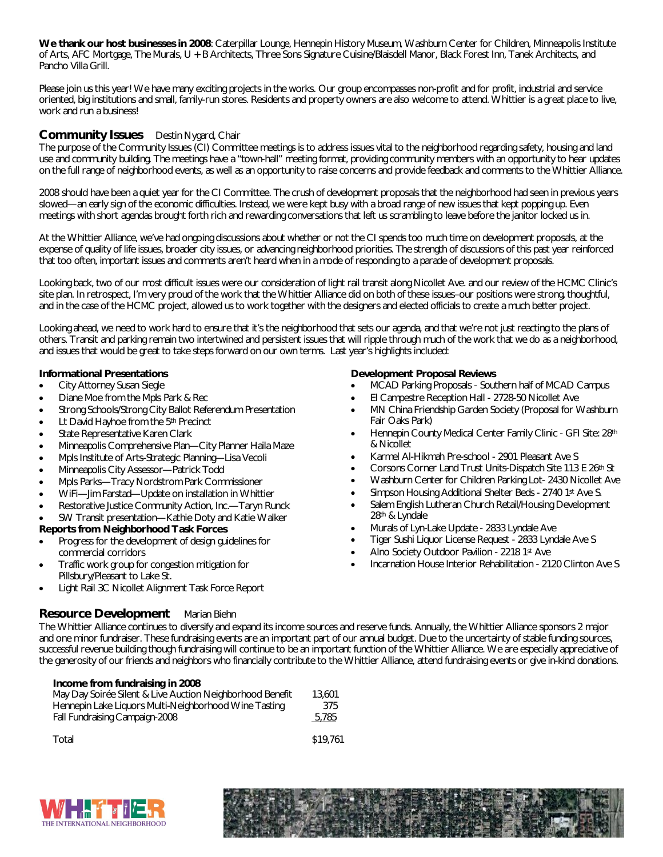**We thank our host businesses in 2008**: Caterpillar Lounge, Hennepin History Museum, Washburn Center for Children, Minneapolis Institute of Arts, AFC Mortgage, The Murals, U + B Architects, Three Sons Signature Cuisine/Blaisdell Manor, Black Forest Inn, Tanek Architects, and Pancho Villa Grill.

Please join us this year! We have many exciting projects in the works. Our group encompasses non-profit and for profit, industrial and service oriented, big institutions and small, family-run stores. Residents and property owners are also welcome to attend. Whittier is a great place to live, work and run a business!

## **Community Issues** Destin Nygard, Chair

The purpose of the Community Issues (CI) Committee meetings is to address issues vital to the neighborhood regarding safety, housing and land use and community building. The meetings have a "town-hall" meeting format, providing community members with an opportunity to hear updates on the full range of neighborhood events, as well as an opportunity to raise concerns and provide feedback and comments to the Whittier Alliance.

2008 should have been a quiet year for the CI Committee. The crush of development proposals that the neighborhood had seen in previous years slowed—an early sign of the economic difficulties. Instead, we were kept busy with a broad range of new issues that kept popping up. Even meetings with short agendas brought forth rich and rewarding conversations that left us scrambling to leave before the janitor locked us in.

At the Whittier Alliance, we've had ongoing discussions about whether or not the CI spends too much time on development proposals, at the expense of quality of life issues, broader city issues, or advancing neighborhood priorities. The strength of discussions of this past year reinforced that too often, important issues and comments aren't heard when in a mode of responding to a parade of development proposals.

Looking back, two of our most difficult issues were our consideration of light rail transit along Nicollet Ave. and our review of the HCMC Clinic's site plan. In retrospect, I'm very proud of the work that the Whittier Alliance did on both of these issues–our positions were strong, thoughtful, and in the case of the HCMC project, allowed us to work together with the designers and elected officials to create a much better project.

Looking ahead, we need to work hard to ensure that it's the neighborhood that sets our agenda, and that we're not just reacting to the plans of others. Transit and parking remain two intertwined and persistent issues that will ripple through much of the work that we do as a neighborhood, and issues that would be great to take steps forward on our own terms. Last year's highlights included:

#### **Informational Presentations**

- City Attorney Susan Siegle
- Diane Moe from the Mpls Park & Rec
- Strong Schools/Strong City Ballot Referendum Presentation
- Lt David Hayhoe from the 5th Precinct
- State Representative Karen Clark
- Minneapolis Comprehensive Plan—City Planner Haila Maze
- Mpls Institute of Arts-Strategic Planning—Lisa Vecoli
- Minneapolis City Assessor—Patrick Todd
- Mpls Parks—Tracy Nordstrom Park Commissioner
- WiFi—Jim Farstad—Update on installation in Whittier
- Restorative Justice Community Action, Inc.—Taryn Runck
- SW Transit presentation—Kathie Doty and Katie Walker

#### **Reports from Neighborhood Task Forces**

- Progress for the development of design guidelines for commercial corridors
- Traffic work group for congestion mitigation for Pillsbury/Pleasant to Lake St.
- Light Rail 3C Nicollet Alignment Task Force Report

## **Resource Development** Marian Biehn

#### **Development Proposal Reviews**

- MCAD Parking Proposals Southern half of MCAD Campus
- El Campestre Reception Hall 2728-50 Nicollet Ave
- MN China Friendship Garden Society (Proposal for Washburn Fair Oaks Park)
- Hennepin County Medical Center Family Clinic GFI Site: 28th & Nicollet
- Karmel Al-Hikmah Pre-school 2901 Pleasant Ave S
- Corsons Corner Land Trust Units-Dispatch Site 113 E 26th St
- Washburn Center for Children Parking Lot- 2430 Nicollet Ave
- Simpson Housing Additional Shelter Beds 2740 1st Ave S.
- Salem English Lutheran Church Retail/Housing Development 28th & Lyndale
- Murals of Lyn-Lake Update 2833 Lyndale Ave
- Tiger Sushi Liquor License Request 2833 Lyndale Ave S
- Alno Society Outdoor Pavilion 2218 1st Ave
- Incarnation House Interior Rehabilitation 2120 Clinton Ave S

The Whittier Alliance continues to diversify and expand its income sources and reserve funds. Annually, the Whittier Alliance sponsors 2 major and one minor fundraiser. These fundraising events are an important part of our annual budget. Due to the uncertainty of stable funding sources, successful revenue building though fundraising will continue to be an important function of the Whittier Alliance. We are especially appreciative of the generosity of our friends and neighbors who financially contribute to the Whittier Alliance, attend fundraising events or give in-kind donations.

#### **Income from fundraising in 2008**

| May Day Soirée Silent & Live Auction Neighborhood Benefit | 13,601 |
|-----------------------------------------------------------|--------|
| Hennepin Lake Liquors Multi-Neighborhood Wine Tasting     | 375    |
| Fall Fundraising Campaign-2008                            | 5,785  |

| Total | \$19,761 |
|-------|----------|
|       |          |



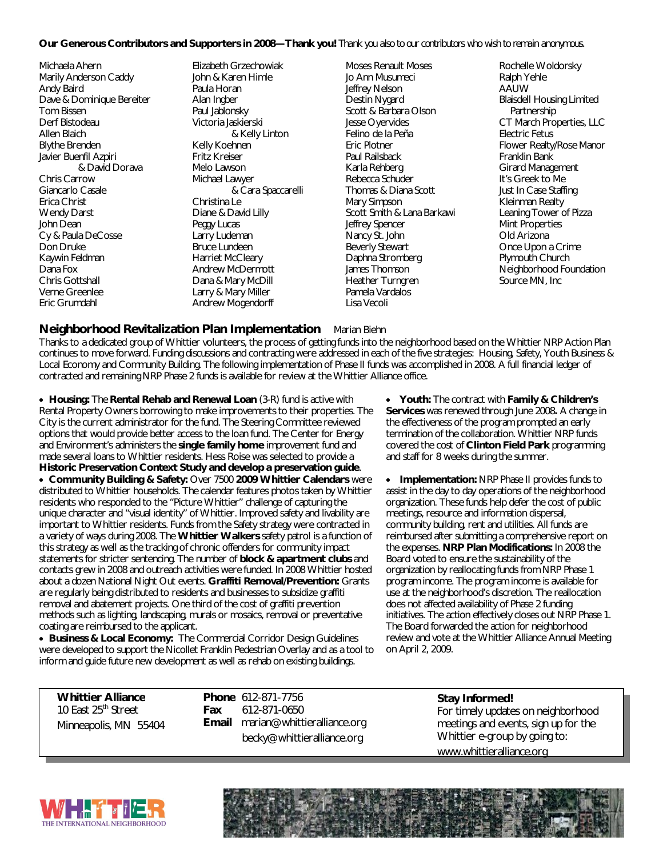#### **Our Generous Contributors and Supporters in 2008—Thank you!** *Thank you also to our contributors who wish to remain anonymous.*

Michaela Ahern Marily Anderson Caddy Andy Baird Dave & Dominique Bereiter Tom Bissen Derf Bistodeau Allen Blaich Blythe Brenden Javier Buenfil Azpiri & David Dorava Chris Carrow Giancarlo Casale Erica Christ Wendy Darst John Dean Cy & Paula DeCosse Don Druke Kaywin Feldman Dana Fox Chris Gottshall Verne Greenlee Eric Grumdahl

Elizabeth Grzechowiak John & Karen Himle Paula Horan Alan Ingber Paul Jablonsky Victoria Jaskierski & Kelly Linton Kelly Koehnen Fritz Kreiser Melo Lawson Michael Lawyer & Cara Spaccarelli Christina Le Diane & David Lilly Peggy Lucas Larry Ludeman Bruce Lundeen Harriet McCleary Andrew McDermott Dana & Mary McDill Larry & Mary Miller Andrew Mogendorff

Moses Renault Moses Jo Ann Musumeci Jeffrey Nelson Destin Nygard Scott & Barbara Olson Jesse Oyervides Felino de la Peña Eric Plotner Paul Railsback Karla Rehberg Rebecca Schuder Thomas & Diana Scott Mary Simpson Scott Smith & Lana Barkawi Jeffrey Spencer Nancy St. John Beverly Stewart Daphna Stromberg James Thomson Heather Turngren Pamela Vardalos Lisa Vecoli

Rochelle Woldorsky Ralph Yehle AAUW Blaisdell Housing Limited Partnership CT March Properties, LLC Electric Fetus Flower Realty/Rose Manor Franklin Bank Girard Management It's Greek to Me Just In Case Staffing Kleinman Realty Leaning Tower of Pizza Mint Properties Old Arizona Once Upon a Crime Plymouth Church Neighborhood Foundation Source MN, Inc

#### **Neighborhood Revitalization Plan Implementation** Marian Biehn

Thanks to a dedicated group of Whittier volunteers, the process of getting funds into the neighborhood based on the Whittier NRP Action Plan continues to move forward. Funding discussions and contracting were addressed in each of the five strategies: Housing, Safety, Youth Business & Local Economy and Community Building. The following implementation of Phase II funds was accomplished in 2008. A full financial ledger of contracted and remaining NRP Phase 2 funds is available for review at the Whittier Alliance office.

 **Housing:** The **Rental Rehab and Renewal Loan** (3-R) fund is active with Rental Property Owners borrowing to make improvements to their properties. The City is the current administrator for the fund. The Steering Committee reviewed options that would provide better access to the loan fund. The Center for Energy and Environment's administers the **single family home** improvement fund and made several loans to Whittier residents. Hess Roise was selected to provide a **Historic Preservation Context Study and develop a preservation guide**.

 **Community Building & Safety:** Over 7500 **2009 Whittier Calendars** were distributed to Whittier households. The calendar features photos taken by Whittier residents who responded to the "Picture Whittier" challenge of capturing the unique character and "visual identity" of Whittier. Improved safety and livability are important to Whittier residents. Funds from the Safety strategy were contracted in a variety of ways during 2008. The **Whittier Walkers** safety patrol is a function of this strategy as well as the tracking of chronic offenders for community impact statements for stricter sentencing. The number of **block & apartment clubs** and contacts grew in 2008 and outreach activities were funded. In 2008 Whittier hosted about a dozen National Night Out events. **Graffiti Removal/Prevention:** Grants are regularly being distributed to residents and businesses to subsidize graffiti removal and abatement projects. One third of the cost of graffiti prevention methods such as lighting, landscaping, murals or mosaics, removal or preventative coating are reimbursed to the applicant.

 **Business & Local Economy:** The Commercial Corridor Design Guidelines were developed to support the Nicollet Franklin Pedestrian Overlay and as a tool to inform and guide future new development as well as rehab on existing buildings.

 **Youth:** The contract with **Family & Children's Services** was renewed through June 2008**.** A change in the effectiveness of the program prompted an early termination of the collaboration. Whittier NRP funds covered the cost of **Clinton Field Park** programming and staff for 8 weeks during the summer.

 **Implementation:** NRP Phase II provides funds to assist in the day to day operations of the neighborhood organization. These funds help defer the cost of public meetings, resource and information dispersal, community building, rent and utilities. All funds are reimbursed after submitting a comprehensive report on the expenses. **NRP Plan Modifications:** In 2008 the Board voted to ensure the sustainability of the organization by reallocating funds from NRP Phase 1 program income. The program income is available for use at the neighborhood's discretion. The reallocation does not affected availability of Phase 2 funding initiatives. The action effectively closes out NRP Phase 1. The Board forwarded the action for neighborhood review and vote at the Whittier Alliance Annual Meeting on April 2, 2009.

**Whittier Alliance** 10 East 25<sup>th</sup> Street Minneapolis, MN 55404 **Phone** 612-871-7756<br>**Fax** 612-871-0650 **Fax** 612-871-0650 **Email** marian@whittieralliance.org becky@whittieralliance.org

**Stay Informed!** For timely updates on neighborhood meetings and events, sign up for the Whittier e-group by going to: www.whittieralliance.org

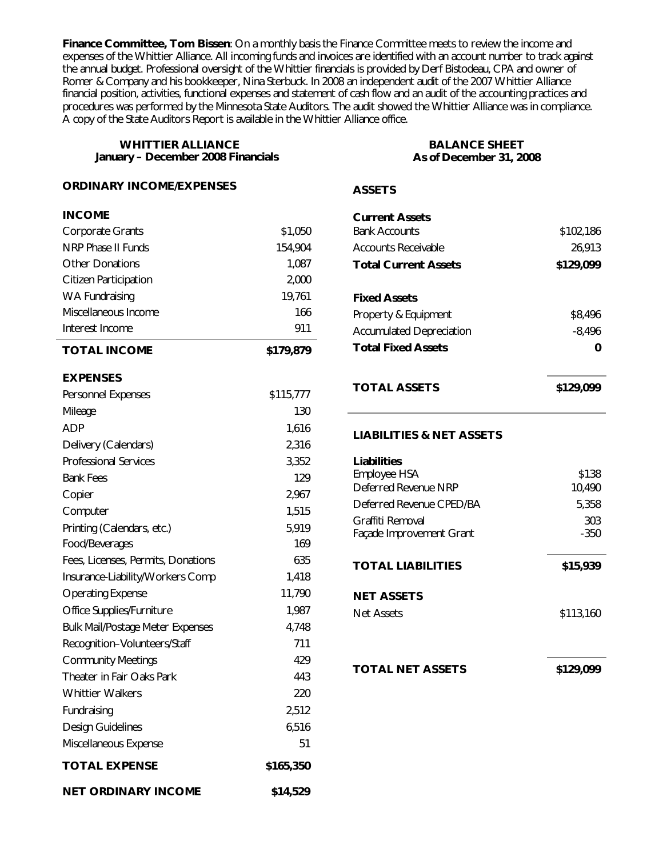**Finance Committee, Tom Bissen**: On a monthly basis the Finance Committee meets to review the income and expenses of the Whittier Alliance. All incoming funds and invoices are identified with an account number to track against the annual budget. Professional oversight of the Whittier financials is provided by Derf Bistodeau, CPA and owner of Romer & Company and his bookkeeper, Nina Sterbuck. In 2008 an independent audit of the 2007 Whittier Alliance financial position, activities, functional expenses and statement of cash flow and an audit of the accounting practices and procedures was performed by the Minnesota State Auditors. The audit showed the Whittier Alliance was in compliance. A copy of the State Auditors Report is available in the Whittier Alliance office.

| <b>WHITTIER ALLIANCE</b><br>January - December 2008 Financials<br><b>ORDINARY INCOME/EXPENSES</b> |           | <b>BALANCE SHEET</b><br>As of December 31, 2008     |           |
|---------------------------------------------------------------------------------------------------|-----------|-----------------------------------------------------|-----------|
|                                                                                                   |           | <b>ASSETS</b>                                       |           |
| <b>INCOME</b>                                                                                     |           | <b>Current Assets</b>                               |           |
| <b>Corporate Grants</b>                                                                           | \$1,050   | <b>Bank Accounts</b>                                | \$102,186 |
| NRP Phase II Funds                                                                                | 154,904   | <b>Accounts Receivable</b>                          | 26,913    |
| <b>Other Donations</b>                                                                            | 1,087     | <b>Total Current Assets</b>                         | \$129,099 |
| <b>Citizen Participation</b>                                                                      | 2,000     |                                                     |           |
| <b>WA Fundraising</b>                                                                             | 19,761    | <b>Fixed Assets</b>                                 |           |
| Miscellaneous Income                                                                              | 166       | Property & Equipment                                | \$8,496   |
| Interest Income                                                                                   | 911       | <b>Accumulated Depreciation</b><br>$-8,496$         |           |
| <b>TOTAL INCOME</b>                                                                               | \$179,879 | <b>Total Fixed Assets</b>                           | 0         |
| <b>EXPENSES</b>                                                                                   |           |                                                     |           |
| Personnel Expenses                                                                                | \$115,777 | <b>TOTAL ASSETS</b>                                 | \$129,099 |
| Mileage                                                                                           | 130       |                                                     |           |
| <b>ADP</b>                                                                                        | 1,616     | <b>LIABILITIES &amp; NET ASSETS</b>                 |           |
| Delivery (Calendars)                                                                              | 2,316     |                                                     |           |
| <b>Professional Services</b>                                                                      | 3,352     | <b>Liabilities</b>                                  |           |
| <b>Bank Fees</b>                                                                                  | 129       | Employee HSA                                        | \$138     |
| Copier                                                                                            | 2,967     | Deferred Revenue NRP                                | 10,490    |
| Computer                                                                                          | 1,515     | Deferred Revenue CPED/BA                            | 5,358     |
| Printing (Calendars, etc.)                                                                        | 5,919     | Graffiti Removal<br>303<br>Façade Improvement Grant |           |
| Food/Beverages                                                                                    | 169       |                                                     | $-350$    |
| Fees, Licenses, Permits, Donations                                                                | 635       | <b>TOTAL LIABILITIES</b>                            | \$15,939  |
| Insurance-Liability/Workers Comp                                                                  | 1,418     |                                                     |           |
| <b>Operating Expense</b>                                                                          | 11,790    | <b>NET ASSETS</b>                                   |           |
| Office Supplies/Furniture                                                                         | 1,987     | <b>Net Assets</b>                                   | \$113,160 |
| <b>Bulk Mail/Postage Meter Expenses</b>                                                           | 4,748     |                                                     |           |
| Recognition-Volunteers/Staff                                                                      | 711       |                                                     |           |
| <b>Community Meetings</b>                                                                         | 429       |                                                     |           |
| Theater in Fair Oaks Park                                                                         | 443       | <b>TOTAL NET ASSETS</b>                             | \$129,099 |
| <b>Whittier Walkers</b>                                                                           | 220       |                                                     |           |
| Fundraising                                                                                       | 2,512     |                                                     |           |
| <b>Design Guidelines</b>                                                                          | 6,516     |                                                     |           |
| Miscellaneous Expense                                                                             | 51        |                                                     |           |
| <b>TOTAL EXPENSE</b>                                                                              | \$165,350 |                                                     |           |
| <b>NET ORDINARY INCOME</b>                                                                        | \$14,529  |                                                     |           |